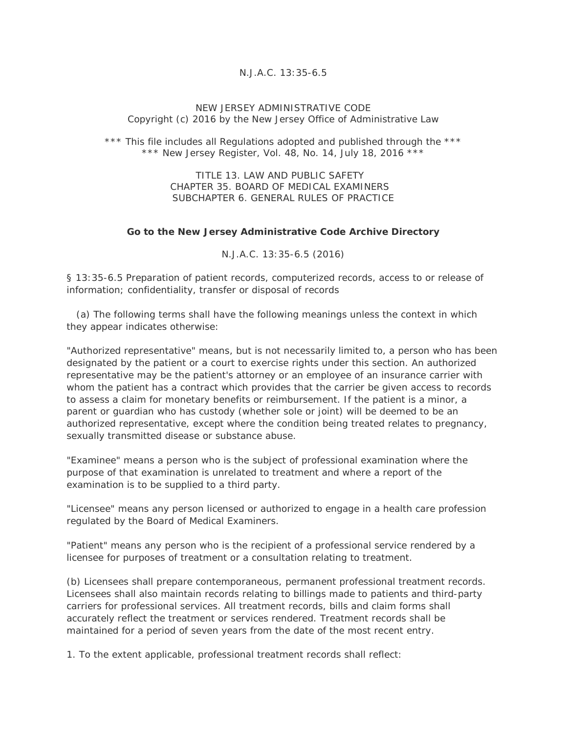## *N.J.A.C. 13:35-6.5*

## NEW JERSEY ADMINISTRATIVE CODE Copyright (c) 2016 by the New Jersey Office of Administrative Law

\*\*\* This file includes all Regulations adopted and published through the \*\*\* \*\*\* New Jersey Register, Vol. 48, No. 14, July 18, 2016 \*\*\*

> TITLE 13. LAW AND PUBLIC SAFETY CHAPTER 35. BOARD OF MEDICAL EXAMINERS SUBCHAPTER 6. GENERAL RULES OF PRACTICE

## **Go to the New Jersey Administrative Code Archive Directory**

N.J.A.C. 13:35-6.5 (2016)

§ 13:35-6.5 Preparation of patient records, computerized records, access to or release of information; confidentiality, transfer or disposal of records

 (a) The following terms shall have the following meanings unless the context in which they appear indicates otherwise:

"Authorized representative" means, but is not necessarily limited to, a person who has been designated by the patient or a court to exercise rights under this section. An authorized representative may be the patient's attorney or an employee of an insurance carrier with whom the patient has a contract which provides that the carrier be given access to records to assess a claim for monetary benefits or reimbursement. If the patient is a minor, a parent or guardian who has custody (whether sole or joint) will be deemed to be an authorized representative, except where the condition being treated relates to pregnancy, sexually transmitted disease or substance abuse.

"Examinee" means a person who is the subject of professional examination where the purpose of that examination is unrelated to treatment and where a report of the examination is to be supplied to a third party.

"Licensee" means any person licensed or authorized to engage in a health care profession regulated by the Board of Medical Examiners.

"Patient" means any person who is the recipient of a professional service rendered by a licensee for purposes of treatment or a consultation relating to treatment.

(b) Licensees shall prepare contemporaneous, permanent professional treatment records. Licensees shall also maintain records relating to billings made to patients and third-party carriers for professional services. All treatment records, bills and claim forms shall accurately reflect the treatment or services rendered. Treatment records shall be maintained for a period of seven years from the date of the most recent entry.

1. To the extent applicable, professional treatment records shall reflect: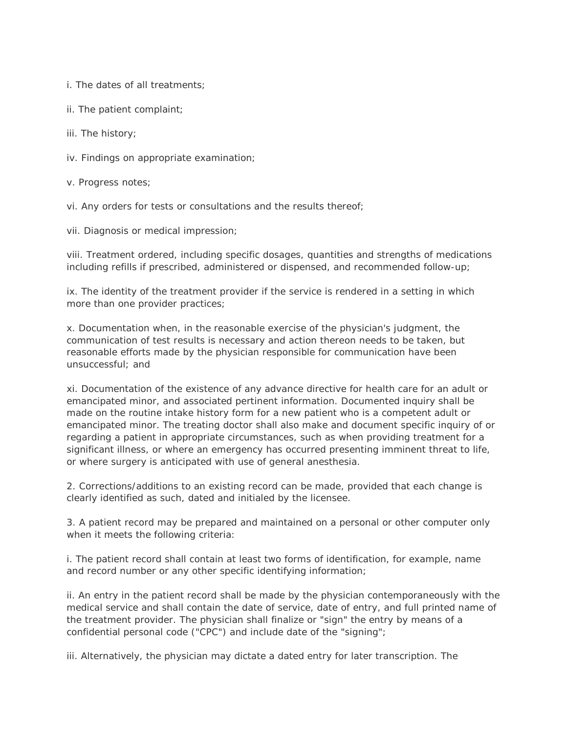i. The dates of all treatments;

- ii. The patient complaint;
- iii. The history;
- iv. Findings on appropriate examination;

v. Progress notes;

vi. Any orders for tests or consultations and the results thereof;

vii. Diagnosis or medical impression;

viii. Treatment ordered, including specific dosages, quantities and strengths of medications including refills if prescribed, administered or dispensed, and recommended follow-up;

ix. The identity of the treatment provider if the service is rendered in a setting in which more than one provider practices;

x. Documentation when, in the reasonable exercise of the physician's judgment, the communication of test results is necessary and action thereon needs to be taken, but reasonable efforts made by the physician responsible for communication have been unsuccessful; and

xi. Documentation of the existence of any advance directive for health care for an adult or emancipated minor, and associated pertinent information. Documented inquiry shall be made on the routine intake history form for a new patient who is a competent adult or emancipated minor. The treating doctor shall also make and document specific inquiry of or regarding a patient in appropriate circumstances, such as when providing treatment for a significant illness, or where an emergency has occurred presenting imminent threat to life, or where surgery is anticipated with use of general anesthesia.

2. Corrections/additions to an existing record can be made, provided that each change is clearly identified as such, dated and initialed by the licensee.

3. A patient record may be prepared and maintained on a personal or other computer only when it meets the following criteria:

i. The patient record shall contain at least two forms of identification, for example, name and record number or any other specific identifying information;

ii. An entry in the patient record shall be made by the physician contemporaneously with the medical service and shall contain the date of service, date of entry, and full printed name of the treatment provider. The physician shall finalize or "sign" the entry by means of a confidential personal code ("CPC") and include date of the "signing";

iii. Alternatively, the physician may dictate a dated entry for later transcription. The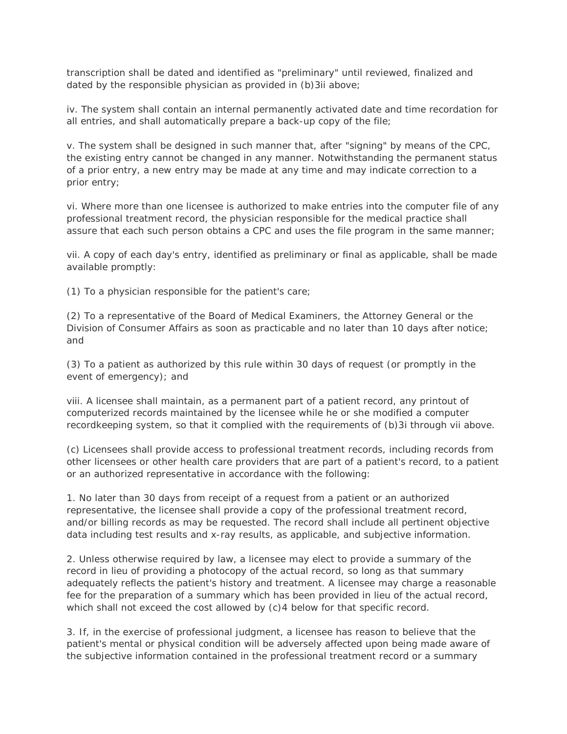transcription shall be dated and identified as "preliminary" until reviewed, finalized and dated by the responsible physician as provided in (b)3ii above;

iv. The system shall contain an internal permanently activated date and time recordation for all entries, and shall automatically prepare a back-up copy of the file;

v. The system shall be designed in such manner that, after "signing" by means of the CPC, the existing entry cannot be changed in any manner. Notwithstanding the permanent status of a prior entry, a new entry may be made at any time and may indicate correction to a prior entry;

vi. Where more than one licensee is authorized to make entries into the computer file of any professional treatment record, the physician responsible for the medical practice shall assure that each such person obtains a CPC and uses the file program in the same manner;

vii. A copy of each day's entry, identified as preliminary or final as applicable, shall be made available promptly:

(1) To a physician responsible for the patient's care;

(2) To a representative of the Board of Medical Examiners, the Attorney General or the Division of Consumer Affairs as soon as practicable and no later than 10 days after notice; and

(3) To a patient as authorized by this rule within 30 days of request (or promptly in the event of emergency); and

viii. A licensee shall maintain, as a permanent part of a patient record, any printout of computerized records maintained by the licensee while he or she modified a computer recordkeeping system, so that it complied with the requirements of (b)3i through vii above.

(c) Licensees shall provide access to professional treatment records, including records from other licensees or other health care providers that are part of a patient's record, to a patient or an authorized representative in accordance with the following:

1. No later than 30 days from receipt of a request from a patient or an authorized representative, the licensee shall provide a copy of the professional treatment record, and/or billing records as may be requested. The record shall include all pertinent objective data including test results and x-ray results, as applicable, and subjective information.

2. Unless otherwise required by law, a licensee may elect to provide a summary of the record in lieu of providing a photocopy of the actual record, so long as that summary adequately reflects the patient's history and treatment. A licensee may charge a reasonable fee for the preparation of a summary which has been provided in lieu of the actual record, which shall not exceed the cost allowed by (c)4 below for that specific record.

3. If, in the exercise of professional judgment, a licensee has reason to believe that the patient's mental or physical condition will be adversely affected upon being made aware of the subjective information contained in the professional treatment record or a summary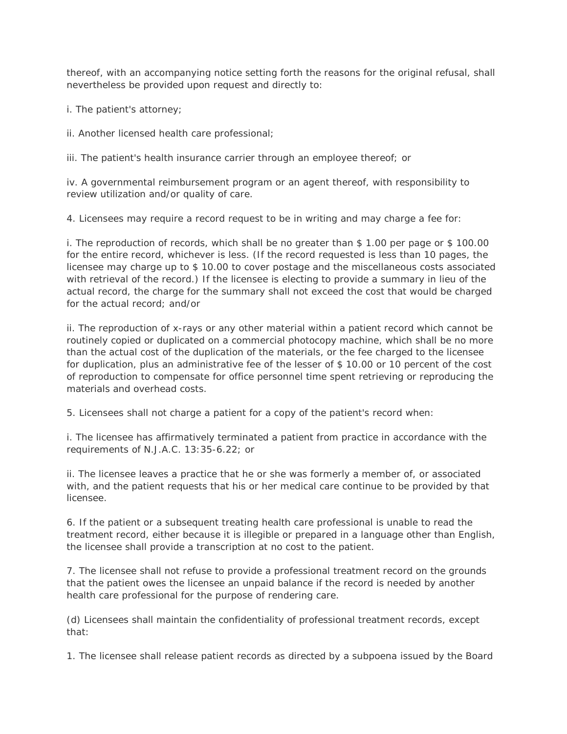thereof, with an accompanying notice setting forth the reasons for the original refusal, shall nevertheless be provided upon request and directly to:

i. The patient's attorney;

ii. Another licensed health care professional;

iii. The patient's health insurance carrier through an employee thereof; or

iv. A governmental reimbursement program or an agent thereof, with responsibility to review utilization and/or quality of care.

4. Licensees may require a record request to be in writing and may charge a fee for:

i. The reproduction of records, which shall be no greater than \$ 1.00 per page or \$ 100.00 for the entire record, whichever is less. (If the record requested is less than 10 pages, the licensee may charge up to \$ 10.00 to cover postage and the miscellaneous costs associated with retrieval of the record.) If the licensee is electing to provide a summary in lieu of the actual record, the charge for the summary shall not exceed the cost that would be charged for the actual record; and/or

ii. The reproduction of x-rays or any other material within a patient record which cannot be routinely copied or duplicated on a commercial photocopy machine, which shall be no more than the actual cost of the duplication of the materials, or the fee charged to the licensee for duplication, plus an administrative fee of the lesser of \$ 10.00 or 10 percent of the cost of reproduction to compensate for office personnel time spent retrieving or reproducing the materials and overhead costs.

5. Licensees shall not charge a patient for a copy of the patient's record when:

i. The licensee has affirmatively terminated a patient from practice in accordance with the requirements of N.J.A.C. 13:35-6.22; or

ii. The licensee leaves a practice that he or she was formerly a member of, or associated with, and the patient requests that his or her medical care continue to be provided by that licensee.

6. If the patient or a subsequent treating health care professional is unable to read the treatment record, either because it is illegible or prepared in a language other than English, the licensee shall provide a transcription at no cost to the patient.

7. The licensee shall not refuse to provide a professional treatment record on the grounds that the patient owes the licensee an unpaid balance if the record is needed by another health care professional for the purpose of rendering care.

(d) Licensees shall maintain the confidentiality of professional treatment records, except that:

1. The licensee shall release patient records as directed by a subpoena issued by the Board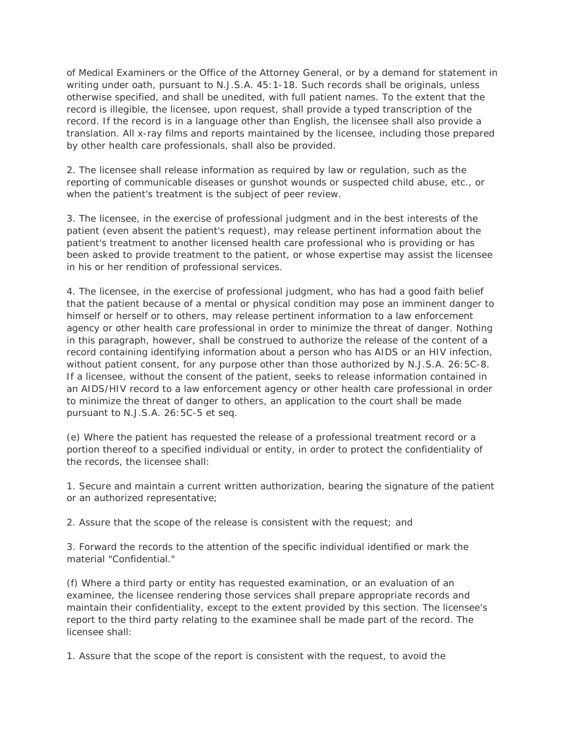of Medical Examiners or the Office of the Attorney General, or by a demand for statement in writing under oath, pursuant to N.J.S.A. 45:1-18. Such records shall be originals, unless otherwise specified, and shall be unedited, with full patient names. To the extent that the record is illegible, the licensee, upon request, shall provide a typed transcription of the record. If the record is in a language other than English, the licensee shall also provide a translation. All x-ray films and reports maintained by the licensee, including those prepared by other health care professionals, shall also be provided.

2. The licensee shall release information as required by law or regulation, such as the reporting of communicable diseases or gunshot wounds or suspected child abuse, etc., or when the patient's treatment is the subject of peer review.

3. The licensee, in the exercise of professional judgment and in the best interests of the patient (even absent the patient's request), may release pertinent information about the patient's treatment to another licensed health care professional who is providing or has been asked to provide treatment to the patient, or whose expertise may assist the licensee in his or her rendition of professional services.

4. The licensee, in the exercise of professional judgment, who has had a good faith belief that the patient because of a mental or physical condition may pose an imminent danger to himself or herself or to others, may release pertinent information to a law enforcement agency or other health care professional in order to minimize the threat of danger. Nothing in this paragraph, however, shall be construed to authorize the release of the content of a record containing identifying information about a person who has AIDS or an HIV infection, without patient consent, for any purpose other than those authorized by N.J.S.A. 26:5C-8. If a licensee, without the consent of the patient, seeks to release information contained in an AIDS/HIV record to a law enforcement agency or other health care professional in order to minimize the threat of danger to others, an application to the court shall be made pursuant to N.J.S.A. 26:5C-5 et seq.

(e) Where the patient has requested the release of a professional treatment record or a portion thereof to a specified individual or entity, in order to protect the confidentiality of the records, the licensee shall:

1. Secure and maintain a current written authorization, bearing the signature of the patient or an authorized representative;

2. Assure that the scope of the release is consistent with the request; and

3. Forward the records to the attention of the specific individual identified or mark the material "Confidential."

(f) Where a third party or entity has requested examination, or an evaluation of an examinee, the licensee rendering those services shall prepare appropriate records and maintain their confidentiality, except to the extent provided by this section. The licensee's report to the third party relating to the examinee shall be made part of the record. The licensee shall:

1. Assure that the scope of the report is consistent with the request, to avoid the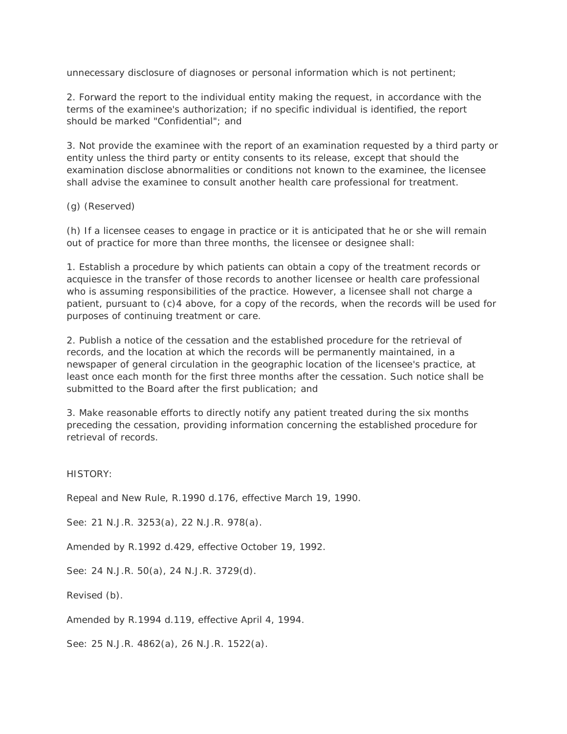unnecessary disclosure of diagnoses or personal information which is not pertinent;

2. Forward the report to the individual entity making the request, in accordance with the terms of the examinee's authorization; if no specific individual is identified, the report should be marked "Confidential"; and

3. Not provide the examinee with the report of an examination requested by a third party or entity unless the third party or entity consents to its release, except that should the examination disclose abnormalities or conditions not known to the examinee, the licensee shall advise the examinee to consult another health care professional for treatment.

(g) (Reserved)

(h) If a licensee ceases to engage in practice or it is anticipated that he or she will remain out of practice for more than three months, the licensee or designee shall:

1. Establish a procedure by which patients can obtain a copy of the treatment records or acquiesce in the transfer of those records to another licensee or health care professional who is assuming responsibilities of the practice. However, a licensee shall not charge a patient, pursuant to (c)4 above, for a copy of the records, when the records will be used for purposes of continuing treatment or care.

2. Publish a notice of the cessation and the established procedure for the retrieval of records, and the location at which the records will be permanently maintained, in a newspaper of general circulation in the geographic location of the licensee's practice, at least once each month for the first three months after the cessation. Such notice shall be submitted to the Board after the first publication; and

3. Make reasonable efforts to directly notify any patient treated during the six months preceding the cessation, providing information concerning the established procedure for retrieval of records.

HISTORY:

Repeal and New Rule, R.1990 d.176, effective March 19, 1990.

See: 21 N.J.R. 3253(a), 22 N.J.R. 978(a).

Amended by R.1992 d.429, effective October 19, 1992.

See: 24 N.J.R. 50(a), 24 N.J.R. 3729(d).

Revised (b).

Amended by R.1994 d.119, effective April 4, 1994.

See: 25 N.J.R. 4862(a), 26 N.J.R. 1522(a).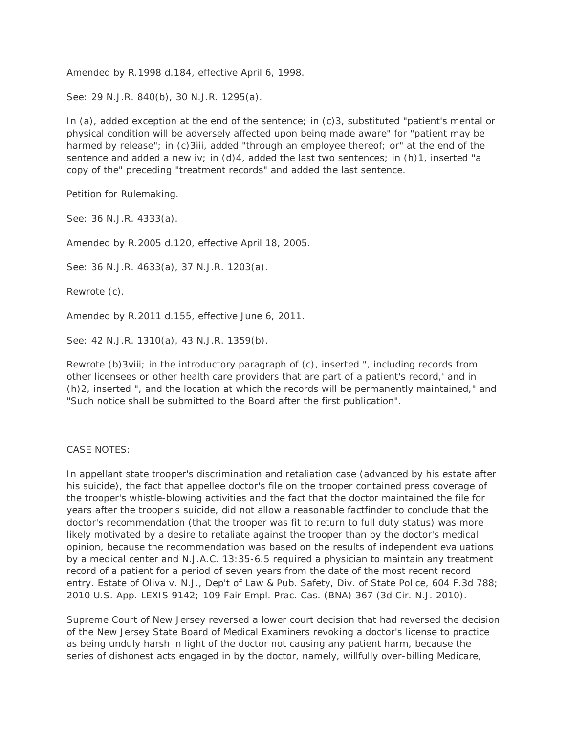Amended by R.1998 d.184, effective April 6, 1998.

See: 29 N.J.R. 840(b), 30 N.J.R. 1295(a).

In (a), added exception at the end of the sentence; in (c)3, substituted "patient's mental or physical condition will be adversely affected upon being made aware" for "patient may be harmed by release"; in (c)3iii, added "through an employee thereof; or" at the end of the sentence and added a new iv; in (d)4, added the last two sentences; in (h)1, inserted "a copy of the" preceding "treatment records" and added the last sentence.

Petition for Rulemaking.

See: 36 N.J.R. 4333(a).

Amended by R.2005 d.120, effective April 18, 2005.

See: 36 N.J.R. 4633(a), 37 N.J.R. 1203(a).

Rewrote (c).

Amended by R.2011 d.155, effective June 6, 2011.

See: 42 N.J.R. 1310(a), 43 N.J.R. 1359(b).

Rewrote (b)3viii; in the introductory paragraph of (c), inserted ", including records from other licensees or other health care providers that are part of a patient's record,' and in (h)2, inserted ", and the location at which the records will be permanently maintained," and "Such notice shall be submitted to the Board after the first publication".

CASE NOTES:

In appellant state trooper's discrimination and retaliation case (advanced by his estate after his suicide), the fact that appellee doctor's file on the trooper contained press coverage of the trooper's whistle-blowing activities and the fact that the doctor maintained the file for years after the trooper's suicide, did not allow a reasonable factfinder to conclude that the doctor's recommendation (that the trooper was fit to return to full duty status) was more likely motivated by a desire to retaliate against the trooper than by the doctor's medical opinion, because the recommendation was based on the results of independent evaluations by a medical center and N.J.A.C. 13:35-6.5 required a physician to maintain any treatment record of a patient for a period of seven years from the date of the most recent record entry. Estate of Oliva v. N.J., Dep't of Law & Pub. Safety, Div. of State Police, 604 F.3d 788; 2010 U.S. App. LEXIS 9142; 109 Fair Empl. Prac. Cas. (BNA) 367 (3d Cir. N.J. 2010).

Supreme Court of New Jersey reversed a lower court decision that had reversed the decision of the New Jersey State Board of Medical Examiners revoking a doctor's license to practice as being unduly harsh in light of the doctor not causing any patient harm, because the series of dishonest acts engaged in by the doctor, namely, willfully over-billing Medicare,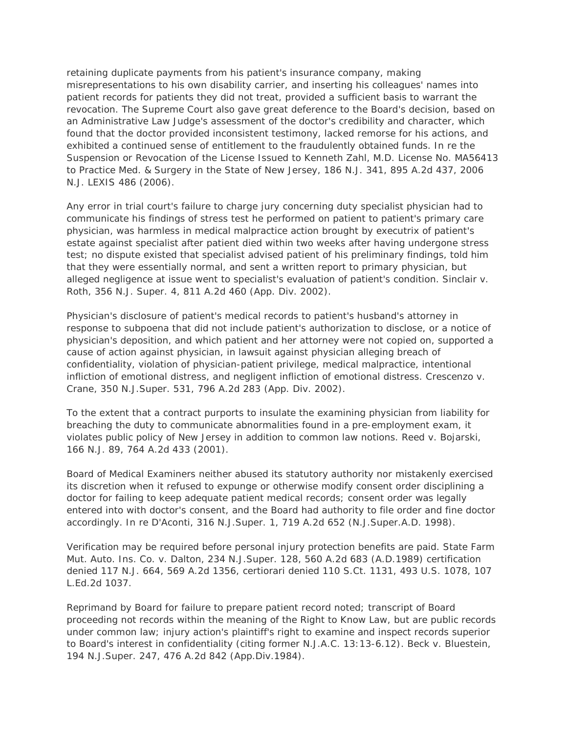retaining duplicate payments from his patient's insurance company, making misrepresentations to his own disability carrier, and inserting his colleagues' names into patient records for patients they did not treat, provided a sufficient basis to warrant the revocation. The Supreme Court also gave great deference to the Board's decision, based on an Administrative Law Judge's assessment of the doctor's credibility and character, which found that the doctor provided inconsistent testimony, lacked remorse for his actions, and exhibited a continued sense of entitlement to the fraudulently obtained funds. In re the Suspension or Revocation of the License Issued to Kenneth Zahl, M.D. License No. MA56413 to Practice Med. & Surgery in the State of New Jersey, 186 N.J. 341, 895 A.2d 437, 2006 N.J. LEXIS 486 (2006).

Any error in trial court's failure to charge jury concerning duty specialist physician had to communicate his findings of stress test he performed on patient to patient's primary care physician, was harmless in medical malpractice action brought by executrix of patient's estate against specialist after patient died within two weeks after having undergone stress test; no dispute existed that specialist advised patient of his preliminary findings, told him that they were essentially normal, and sent a written report to primary physician, but alleged negligence at issue went to specialist's evaluation of patient's condition. Sinclair v. Roth, 356 N.J. Super. 4, 811 A.2d 460 (App. Div. 2002).

Physician's disclosure of patient's medical records to patient's husband's attorney in response to subpoena that did not include patient's authorization to disclose, or a notice of physician's deposition, and which patient and her attorney were not copied on, supported a cause of action against physician, in lawsuit against physician alleging breach of confidentiality, violation of physician-patient privilege, medical malpractice, intentional infliction of emotional distress, and negligent infliction of emotional distress. Crescenzo v. Crane, 350 N.J.Super. 531, 796 A.2d 283 (App. Div. 2002).

To the extent that a contract purports to insulate the examining physician from liability for breaching the duty to communicate abnormalities found in a pre-employment exam, it violates public policy of New Jersey in addition to common law notions. Reed v. Bojarski, 166 N.J. 89, 764 A.2d 433 (2001).

Board of Medical Examiners neither abused its statutory authority nor mistakenly exercised its discretion when it refused to expunge or otherwise modify consent order disciplining a doctor for failing to keep adequate patient medical records; consent order was legally entered into with doctor's consent, and the Board had authority to file order and fine doctor accordingly. In re D'Aconti, 316 N.J.Super. 1, 719 A.2d 652 (N.J.Super.A.D. 1998).

Verification may be required before personal injury protection benefits are paid. State Farm Mut. Auto. Ins. Co. v. Dalton, 234 N.J.Super. 128, 560 A.2d 683 (A.D.1989) certification denied 117 N.J. 664, 569 A.2d 1356, certiorari denied 110 S.Ct. 1131, 493 U.S. 1078, 107 L.Ed.2d 1037.

Reprimand by Board for failure to prepare patient record noted; transcript of Board proceeding not records within the meaning of the Right to Know Law, but are public records under common law; injury action's plaintiff's right to examine and inspect records superior to Board's interest in confidentiality (citing former N.J.A.C. 13:13-6.12). Beck v. Bluestein, 194 N.J.Super. 247, 476 A.2d 842 (App.Div.1984).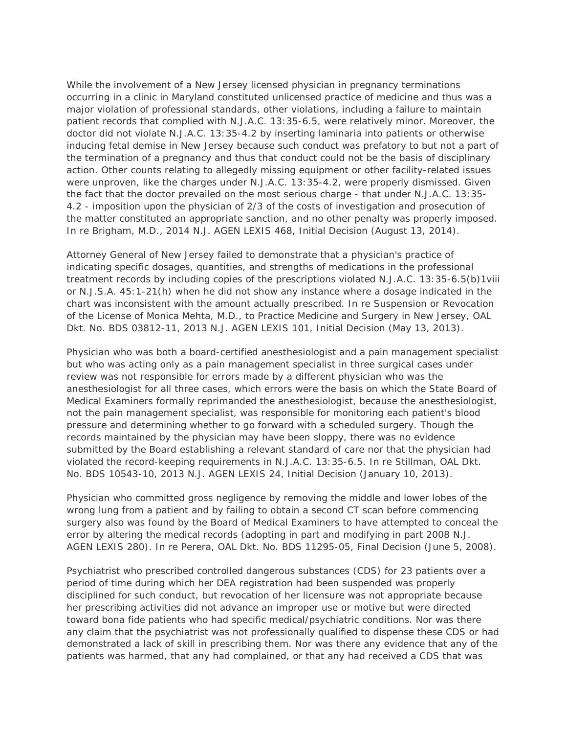While the involvement of a New Jersey licensed physician in pregnancy terminations occurring in a clinic in Maryland constituted unlicensed practice of medicine and thus was a major violation of professional standards, other violations, including a failure to maintain patient records that complied with N.J.A.C. 13:35-6.5, were relatively minor. Moreover, the doctor did not violate N.J.A.C. 13:35-4.2 by inserting laminaria into patients or otherwise inducing fetal demise in New Jersey because such conduct was prefatory to but not a part of the termination of a pregnancy and thus that conduct could not be the basis of disciplinary action. Other counts relating to allegedly missing equipment or other facility-related issues were unproven, like the charges under N.J.A.C. 13:35-4.2, were properly dismissed. Given the fact that the doctor prevailed on the most serious charge - that under N.J.A.C. 13:35- 4.2 - imposition upon the physician of 2/3 of the costs of investigation and prosecution of the matter constituted an appropriate sanction, and no other penalty was properly imposed. In re Brigham, M.D., 2014 N.J. AGEN LEXIS 468, Initial Decision (August 13, 2014).

Attorney General of New Jersey failed to demonstrate that a physician's practice of indicating specific dosages, quantities, and strengths of medications in the professional treatment records by including copies of the prescriptions violated N.J.A.C. 13:35-6.5(b)1viii or N.J.S.A. 45:1-21(h) when he did not show any instance where a dosage indicated in the chart was inconsistent with the amount actually prescribed. In re Suspension or Revocation of the License of Monica Mehta, M.D., to Practice Medicine and Surgery in New Jersey, OAL Dkt. No. BDS 03812-11, 2013 N.J. AGEN LEXIS 101, Initial Decision (May 13, 2013).

Physician who was both a board-certified anesthesiologist and a pain management specialist but who was acting only as a pain management specialist in three surgical cases under review was not responsible for errors made by a different physician who was the anesthesiologist for all three cases, which errors were the basis on which the State Board of Medical Examiners formally reprimanded the anesthesiologist, because the anesthesiologist, not the pain management specialist, was responsible for monitoring each patient's blood pressure and determining whether to go forward with a scheduled surgery. Though the records maintained by the physician may have been sloppy, there was no evidence submitted by the Board establishing a relevant standard of care nor that the physician had violated the record-keeping requirements in N.J.A.C. 13:35-6.5. In re Stillman, OAL Dkt. No. BDS 10543-10, 2013 N.J. AGEN LEXIS 24, Initial Decision (January 10, 2013).

Physician who committed gross negligence by removing the middle and lower lobes of the wrong lung from a patient and by failing to obtain a second CT scan before commencing surgery also was found by the Board of Medical Examiners to have attempted to conceal the error by altering the medical records (adopting in part and modifying in part 2008 N.J. AGEN LEXIS 280). In re Perera, OAL Dkt. No. BDS 11295-05, Final Decision (June 5, 2008).

Psychiatrist who prescribed controlled dangerous substances (CDS) for 23 patients over a period of time during which her DEA registration had been suspended was properly disciplined for such conduct, but revocation of her licensure was not appropriate because her prescribing activities did not advance an improper use or motive but were directed toward bona fide patients who had specific medical/psychiatric conditions. Nor was there any claim that the psychiatrist was not professionally qualified to dispense these CDS or had demonstrated a lack of skill in prescribing them. Nor was there any evidence that any of the patients was harmed, that any had complained, or that any had received a CDS that was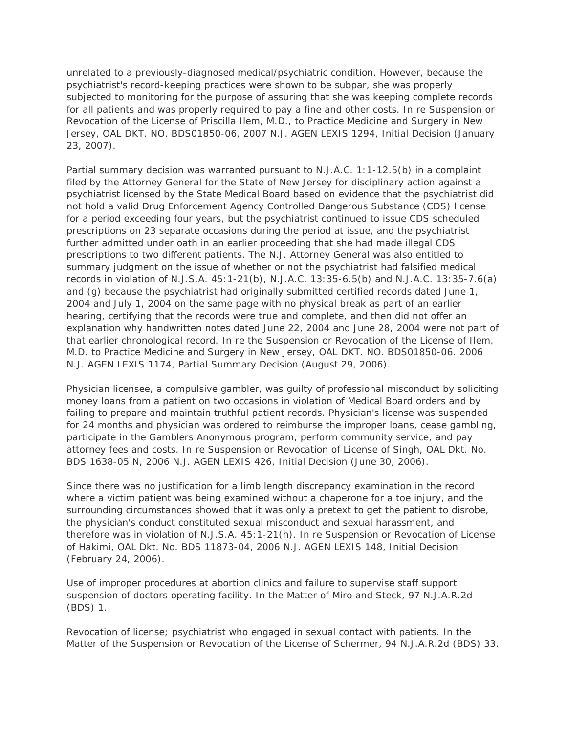unrelated to a previously-diagnosed medical/psychiatric condition. However, because the psychiatrist's record-keeping practices were shown to be subpar, she was properly subjected to monitoring for the purpose of assuring that she was keeping complete records for all patients and was properly required to pay a fine and other costs. In re Suspension or Revocation of the License of Priscilla Ilem, M.D., to Practice Medicine and Surgery in New Jersey, OAL DKT. NO. BDS01850-06, 2007 N.J. AGEN LEXIS 1294, Initial Decision (January 23, 2007).

Partial summary decision was warranted pursuant to N.J.A.C. 1:1-12.5(b) in a complaint filed by the Attorney General for the State of New Jersey for disciplinary action against a psychiatrist licensed by the State Medical Board based on evidence that the psychiatrist did not hold a valid Drug Enforcement Agency Controlled Dangerous Substance (CDS) license for a period exceeding four years, but the psychiatrist continued to issue CDS scheduled prescriptions on 23 separate occasions during the period at issue, and the psychiatrist further admitted under oath in an earlier proceeding that she had made illegal CDS prescriptions to two different patients. The N.J. Attorney General was also entitled to summary judgment on the issue of whether or not the psychiatrist had falsified medical records in violation of N.J.S.A. 45:1-21(b), N.J.A.C. 13:35-6.5(b) and N.J.A.C. 13:35-7.6(a) and (g) because the psychiatrist had originally submitted certified records dated June 1, 2004 and July 1, 2004 on the same page with no physical break as part of an earlier hearing, certifying that the records were true and complete, and then did not offer an explanation why handwritten notes dated June 22, 2004 and June 28, 2004 were not part of that earlier chronological record. In re the Suspension or Revocation of the License of Ilem, M.D. to Practice Medicine and Surgery in New Jersey, OAL DKT. NO. BDS01850-06. 2006 N.J. AGEN LEXIS 1174, Partial Summary Decision (August 29, 2006).

Physician licensee, a compulsive gambler, was guilty of professional misconduct by soliciting money loans from a patient on two occasions in violation of Medical Board orders and by failing to prepare and maintain truthful patient records. Physician's license was suspended for 24 months and physician was ordered to reimburse the improper loans, cease gambling, participate in the Gamblers Anonymous program, perform community service, and pay attorney fees and costs. In re Suspension or Revocation of License of Singh, OAL Dkt. No. BDS 1638-05 N, 2006 N.J. AGEN LEXIS 426, Initial Decision (June 30, 2006).

Since there was no justification for a limb length discrepancy examination in the record where a victim patient was being examined without a chaperone for a toe injury, and the surrounding circumstances showed that it was only a pretext to get the patient to disrobe, the physician's conduct constituted sexual misconduct and sexual harassment, and therefore was in violation of N.J.S.A. 45:1-21(h). In re Suspension or Revocation of License of Hakimi, OAL Dkt. No. BDS 11873-04, 2006 N.J. AGEN LEXIS 148, Initial Decision (February 24, 2006).

Use of improper procedures at abortion clinics and failure to supervise staff support suspension of doctors operating facility. In the Matter of Miro and Steck, 97 N.J.A.R.2d (BDS) 1.

Revocation of license; psychiatrist who engaged in sexual contact with patients. In the Matter of the Suspension or Revocation of the License of Schermer, 94 N.J.A.R.2d (BDS) 33.